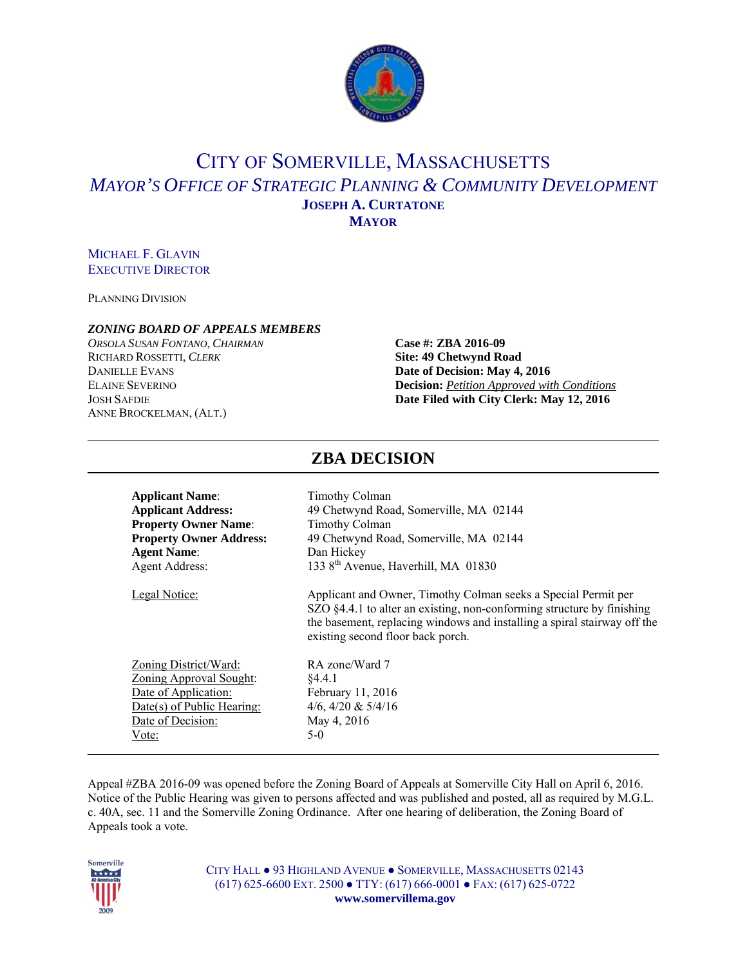

## CITY OF SOMERVILLE, MASSACHUSETTS *MAYOR'S OFFICE OF STRATEGIC PLANNING & COMMUNITY DEVELOPMENT* **JOSEPH A. CURTATONE MAYOR**

#### MICHAEL F. GLAVIN EXECUTIVE DIRECTOR

PLANNING DIVISION

#### *ZONING BOARD OF APPEALS MEMBERS*

*ORSOLA SUSAN FONTANO*, *CHAIRMAN* **Case #: ZBA 2016-09** RICHARD ROSSETTI, *CLERK* **Site: 49 Chetwynd Road DANIELLE EVANS Date of Decision: May 4, 2016** ANNE BROCKELMAN, (ALT.)

# ELAINE SEVERINO **Decision:** *Petition Approved with Conditions* JOSH SAFDIE **Date Filed with City Clerk: May 12, 2016**

| <b>Applicant Name:</b>         |                                                                                                                                                                                                                                                           |
|--------------------------------|-----------------------------------------------------------------------------------------------------------------------------------------------------------------------------------------------------------------------------------------------------------|
| <b>Applicant Address:</b>      | Timothy Colman<br>49 Chetwynd Road, Somerville, MA 02144                                                                                                                                                                                                  |
| <b>Property Owner Name:</b>    | Timothy Colman                                                                                                                                                                                                                                            |
| <b>Property Owner Address:</b> | 49 Chetwynd Road, Somerville, MA 02144                                                                                                                                                                                                                    |
|                                |                                                                                                                                                                                                                                                           |
| <b>Agent Name:</b>             | Dan Hickey<br>133 8 <sup>th</sup> Avenue, Haverhill, MA 01830                                                                                                                                                                                             |
| <b>Agent Address:</b>          |                                                                                                                                                                                                                                                           |
| Legal Notice:                  | Applicant and Owner, Timothy Colman seeks a Special Permit per<br>SZO §4.4.1 to alter an existing, non-conforming structure by finishing<br>the basement, replacing windows and installing a spiral stairway off the<br>existing second floor back porch. |
| <u>Zoning District/Ward:</u>   | RA zone/Ward 7                                                                                                                                                                                                                                            |
| <b>Zoning Approval Sought:</b> | §4.4.1                                                                                                                                                                                                                                                    |
| Date of Application:           | February 11, 2016                                                                                                                                                                                                                                         |
| Date(s) of Public Hearing:     | 4/6, 4/20 & $5/4/16$                                                                                                                                                                                                                                      |
| Date of Decision:              | May 4, 2016                                                                                                                                                                                                                                               |
| Vote:                          | $5-0$                                                                                                                                                                                                                                                     |
|                                |                                                                                                                                                                                                                                                           |
|                                |                                                                                                                                                                                                                                                           |

Appeal #ZBA 2016-09 was opened before the Zoning Board of Appeals at Somerville City Hall on April 6, 2016. Notice of the Public Hearing was given to persons affected and was published and posted, all as required by M.G.L. c. 40A, sec. 11 and the Somerville Zoning Ordinance. After one hearing of deliberation, the Zoning Board of Appeals took a vote.



CITY HALL ● 93 HIGHLAND AVENUE ● SOMERVILLE, MASSACHUSETTS 02143 (617) 625-6600 EXT. 2500 ● TTY: (617) 666-0001 ● FAX: (617) 625-0722 **www.somervillema.gov** 

### **ZBA DECISION**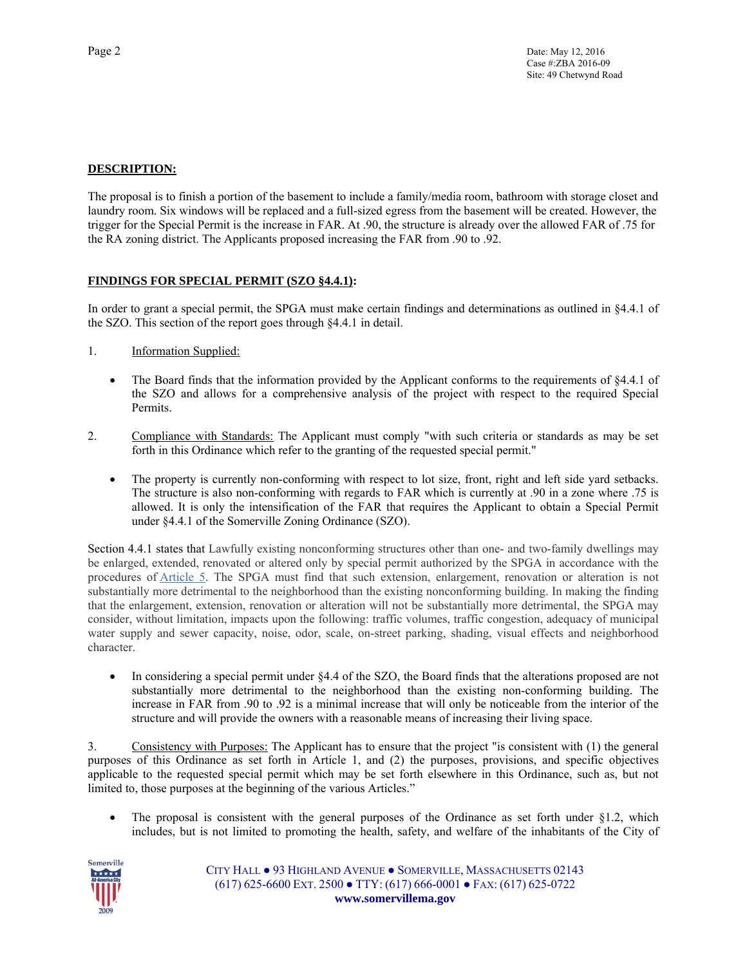#### **DESCRIPTION:**

The proposal is to finish a portion of the basement to include a family/media room, bathroom with storage closet and laundry room. Six windows will be replaced and a full-sized egress from the basement will be created. However, the trigger for the Special Permit is the increase in FAR. At .90, the structure is already over the allowed FAR of .75 for the RA zoning district. The Applicants proposed increasing the FAR from .90 to .92.

#### **FINDINGS FOR SPECIAL PERMIT (SZO §4.4.1):**

In order to grant a special permit, the SPGA must make certain findings and determinations as outlined in §4.4.1 of the SZO. This section of the report goes through §4.4.1 in detail.

- 1. Information Supplied:
	- The Board finds that the information provided by the Applicant conforms to the requirements of §4.4.1 of the SZO and allows for a comprehensive analysis of the project with respect to the required Special Permits.
- 2. Compliance with Standards: The Applicant must comply "with such criteria or standards as may be set forth in this Ordinance which refer to the granting of the requested special permit."
	- The property is currently non-conforming with respect to lot size, front, right and left side yard setbacks. The structure is also non-conforming with regards to FAR which is currently at .90 in a zone where .75 is allowed. It is only the intensification of the FAR that requires the Applicant to obtain a Special Permit under §4.4.1 of the Somerville Zoning Ordinance (SZO).

Section 4.4.1 states that Lawfully existing nonconforming structures other than one- and two-family dwellings may be enlarged, extended, renovated or altered only by special permit authorized by the SPGA in accordance with the procedures of Article 5. The SPGA must find that such extension, enlargement, renovation or alteration is not substantially more detrimental to the neighborhood than the existing nonconforming building. In making the finding that the enlargement, extension, renovation or alteration will not be substantially more detrimental, the SPGA may consider, without limitation, impacts upon the following: traffic volumes, traffic congestion, adequacy of municipal water supply and sewer capacity, noise, odor, scale, on-street parking, shading, visual effects and neighborhood character.

• In considering a special permit under §4.4 of the SZO, the Board finds that the alterations proposed are not substantially more detrimental to the neighborhood than the existing non-conforming building. The increase in FAR from .90 to .92 is a minimal increase that will only be noticeable from the interior of the structure and will provide the owners with a reasonable means of increasing their living space.

3. Consistency with Purposes: The Applicant has to ensure that the project "is consistent with (1) the general purposes of this Ordinance as set forth in Article 1, and (2) the purposes, provisions, and specific objectives applicable to the requested special permit which may be set forth elsewhere in this Ordinance, such as, but not limited to, those purposes at the beginning of the various Articles."

• The proposal is consistent with the general purposes of the Ordinance as set forth under  $\S 1.2$ , which includes, but is not limited to promoting the health, safety, and welfare of the inhabitants of the City of



CITY HALL ● 93 HIGHLAND AVENUE ● SOMERVILLE, MASSACHUSETTS 02143 (617) 625-6600 EXT. 2500 ● TTY: (617) 666-0001 ● FAX: (617) 625-0722 **www.somervillema.gov**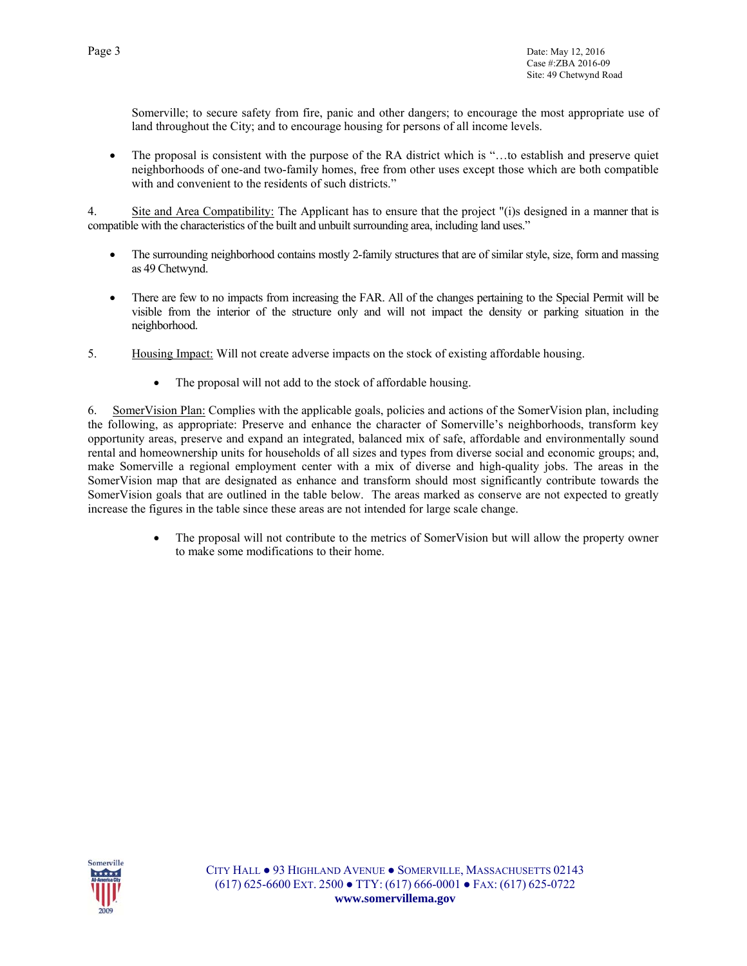Somerville; to secure safety from fire, panic and other dangers; to encourage the most appropriate use of land throughout the City; and to encourage housing for persons of all income levels.

• The proposal is consistent with the purpose of the RA district which is "...to establish and preserve quiet neighborhoods of one-and two-family homes, free from other uses except those which are both compatible with and convenient to the residents of such districts."

4. Site and Area Compatibility: The Applicant has to ensure that the project "(i)s designed in a manner that is compatible with the characteristics of the built and unbuilt surrounding area, including land uses."

- The surrounding neighborhood contains mostly 2-family structures that are of similar style, size, form and massing as 49 Chetwynd.
- There are few to no impacts from increasing the FAR. All of the changes pertaining to the Special Permit will be visible from the interior of the structure only and will not impact the density or parking situation in the neighborhood.
- 5. Housing Impact: Will not create adverse impacts on the stock of existing affordable housing.
	- The proposal will not add to the stock of affordable housing.

6. SomerVision Plan: Complies with the applicable goals, policies and actions of the SomerVision plan, including the following, as appropriate: Preserve and enhance the character of Somerville's neighborhoods, transform key opportunity areas, preserve and expand an integrated, balanced mix of safe, affordable and environmentally sound rental and homeownership units for households of all sizes and types from diverse social and economic groups; and, make Somerville a regional employment center with a mix of diverse and high-quality jobs. The areas in the SomerVision map that are designated as enhance and transform should most significantly contribute towards the SomerVision goals that are outlined in the table below. The areas marked as conserve are not expected to greatly increase the figures in the table since these areas are not intended for large scale change.

> The proposal will not contribute to the metrics of SomerVision but will allow the property owner to make some modifications to their home.

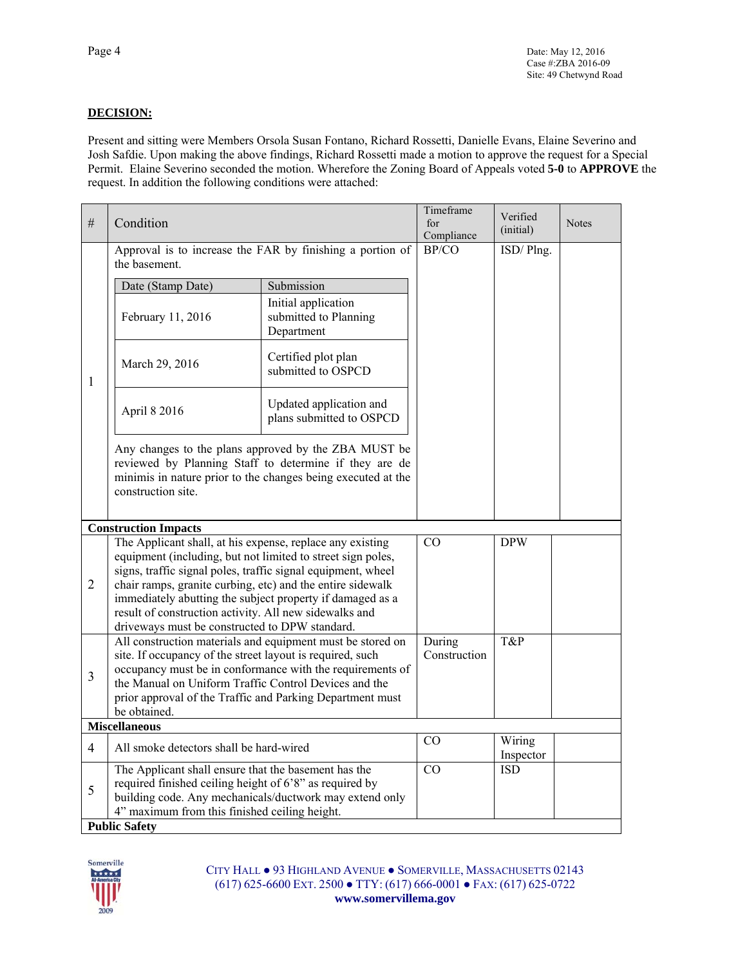#### **DECISION:**

Present and sitting were Members Orsola Susan Fontano, Richard Rossetti, Danielle Evans, Elaine Severino and Josh Safdie. Upon making the above findings, Richard Rossetti made a motion to approve the request for a Special Permit. Elaine Severino seconded the motion. Wherefore the Zoning Board of Appeals voted **5-0** to **APPROVE** the request. In addition the following conditions were attached:

| #                    | Condition                                                                                                                                                                                            |                                                            | Timeframe<br>for<br>Compliance | Verified<br>(initial) | <b>Notes</b> |
|----------------------|------------------------------------------------------------------------------------------------------------------------------------------------------------------------------------------------------|------------------------------------------------------------|--------------------------------|-----------------------|--------------|
|                      | Approval is to increase the FAR by finishing a portion of<br>the basement.                                                                                                                           |                                                            | BP/CO                          | ISD/Plng.             |              |
|                      | Date (Stamp Date)                                                                                                                                                                                    | Submission                                                 |                                |                       |              |
|                      | February 11, 2016                                                                                                                                                                                    | Initial application<br>submitted to Planning<br>Department |                                |                       |              |
| 1                    | March 29, 2016                                                                                                                                                                                       | Certified plot plan<br>submitted to OSPCD                  |                                |                       |              |
|                      | April 8 2016                                                                                                                                                                                         | Updated application and<br>plans submitted to OSPCD        |                                |                       |              |
|                      | Any changes to the plans approved by the ZBA MUST be<br>reviewed by Planning Staff to determine if they are de<br>minimis in nature prior to the changes being executed at the<br>construction site. |                                                            |                                |                       |              |
|                      | <b>Construction Impacts</b>                                                                                                                                                                          |                                                            |                                |                       |              |
|                      | The Applicant shall, at his expense, replace any existing                                                                                                                                            |                                                            | CO                             | <b>DPW</b>            |              |
|                      | equipment (including, but not limited to street sign poles,                                                                                                                                          |                                                            |                                |                       |              |
| $\overline{2}$       | signs, traffic signal poles, traffic signal equipment, wheel<br>chair ramps, granite curbing, etc) and the entire sidewalk                                                                           |                                                            |                                |                       |              |
|                      | immediately abutting the subject property if damaged as a                                                                                                                                            |                                                            |                                |                       |              |
|                      | result of construction activity. All new sidewalks and                                                                                                                                               |                                                            |                                |                       |              |
|                      | driveways must be constructed to DPW standard.                                                                                                                                                       |                                                            |                                |                       |              |
|                      | All construction materials and equipment must be stored on                                                                                                                                           |                                                            | During                         | T&P                   |              |
|                      | site. If occupancy of the street layout is required, such<br>occupancy must be in conformance with the requirements of                                                                               |                                                            | Construction                   |                       |              |
| $\overline{3}$       | the Manual on Uniform Traffic Control Devices and the                                                                                                                                                |                                                            |                                |                       |              |
|                      | prior approval of the Traffic and Parking Department must                                                                                                                                            |                                                            |                                |                       |              |
|                      | be obtained.                                                                                                                                                                                         |                                                            |                                |                       |              |
| <b>Miscellaneous</b> |                                                                                                                                                                                                      |                                                            |                                |                       |              |
| $\overline{4}$       | All smoke detectors shall be hard-wired                                                                                                                                                              |                                                            | CO                             | Wiring<br>Inspector   |              |
| 5                    | The Applicant shall ensure that the basement has the<br>required finished ceiling height of 6'8" as required by<br>4" maximum from this finished ceiling height.<br><b>Public Safety</b>             | building code. Any mechanicals/ductwork may extend only    | CO                             | <b>ISD</b>            |              |
|                      |                                                                                                                                                                                                      |                                                            |                                |                       |              |



CITY HALL ● 93 HIGHLAND AVENUE ● SOMERVILLE, MASSACHUSETTS 02143 (617) 625-6600 EXT. 2500 ● TTY: (617) 666-0001 ● FAX: (617) 625-0722 **www.somervillema.gov**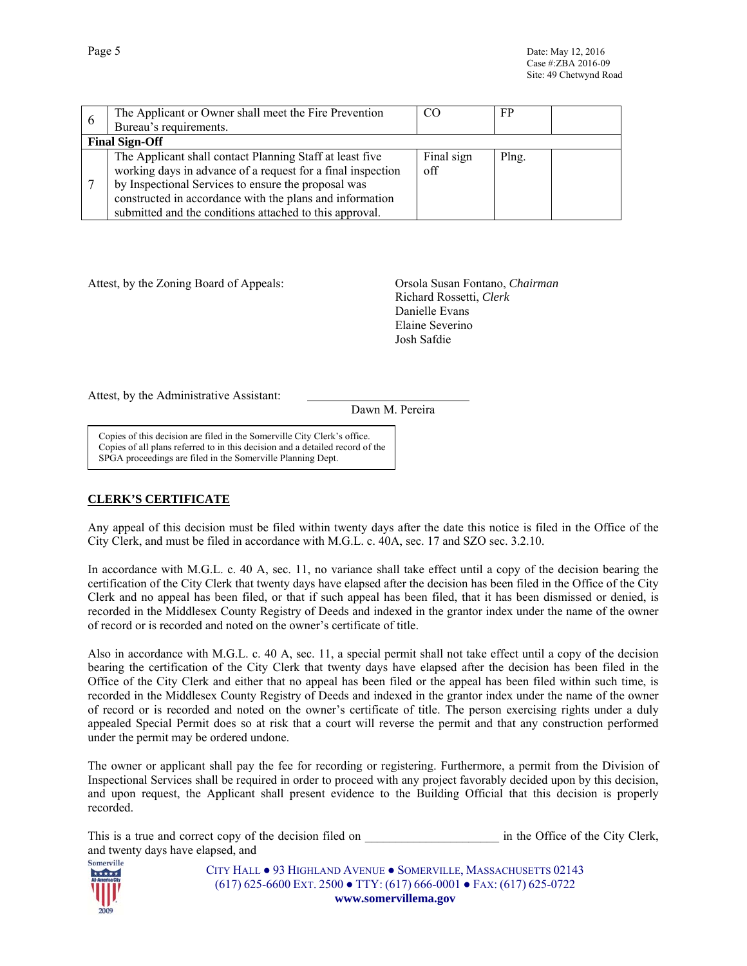| $\theta$ | The Applicant or Owner shall meet the Fire Prevention       | CC         | FP    |  |
|----------|-------------------------------------------------------------|------------|-------|--|
|          | Bureau's requirements.                                      |            |       |  |
|          | <b>Final Sign-Off</b>                                       |            |       |  |
|          | The Applicant shall contact Planning Staff at least five    | Final sign | Plng. |  |
|          | working days in advance of a request for a final inspection | off        |       |  |
|          | by Inspectional Services to ensure the proposal was         |            |       |  |
|          | constructed in accordance with the plans and information    |            |       |  |
|          | submitted and the conditions attached to this approval.     |            |       |  |

Attest, by the Zoning Board of Appeals: Orsola Susan Fontano, *Chairman*

 Richard Rossetti, *Clerk* Danielle Evans Elaine Severino Josh Safdie

Attest, by the Administrative Assistant:

Dawn M. Pereira

Copies of this decision are filed in the Somerville City Clerk's office. Copies of all plans referred to in this decision and a detailed record of the SPGA proceedings are filed in the Somerville Planning Dept.

#### **CLERK'S CERTIFICATE**

Any appeal of this decision must be filed within twenty days after the date this notice is filed in the Office of the City Clerk, and must be filed in accordance with M.G.L. c. 40A, sec. 17 and SZO sec. 3.2.10.

In accordance with M.G.L. c. 40 A, sec. 11, no variance shall take effect until a copy of the decision bearing the certification of the City Clerk that twenty days have elapsed after the decision has been filed in the Office of the City Clerk and no appeal has been filed, or that if such appeal has been filed, that it has been dismissed or denied, is recorded in the Middlesex County Registry of Deeds and indexed in the grantor index under the name of the owner of record or is recorded and noted on the owner's certificate of title.

Also in accordance with M.G.L. c. 40 A, sec. 11, a special permit shall not take effect until a copy of the decision bearing the certification of the City Clerk that twenty days have elapsed after the decision has been filed in the Office of the City Clerk and either that no appeal has been filed or the appeal has been filed within such time, is recorded in the Middlesex County Registry of Deeds and indexed in the grantor index under the name of the owner of record or is recorded and noted on the owner's certificate of title. The person exercising rights under a duly appealed Special Permit does so at risk that a court will reverse the permit and that any construction performed under the permit may be ordered undone.

The owner or applicant shall pay the fee for recording or registering. Furthermore, a permit from the Division of Inspectional Services shall be required in order to proceed with any project favorably decided upon by this decision, and upon request, the Applicant shall present evidence to the Building Official that this decision is properly recorded.

| This is a true and correct copy of the decision filed on | in the Office of the City Clerk, |  |
|----------------------------------------------------------|----------------------------------|--|
| and twenty days have elapsed, and                        |                                  |  |



CITY HALL ● 93 HIGHLAND AVENUE ● SOMERVILLE, MASSACHUSETTS 02143 (617) 625-6600 EXT. 2500 ● TTY: (617) 666-0001 ● FAX: (617) 625-0722 **www.somervillema.gov**